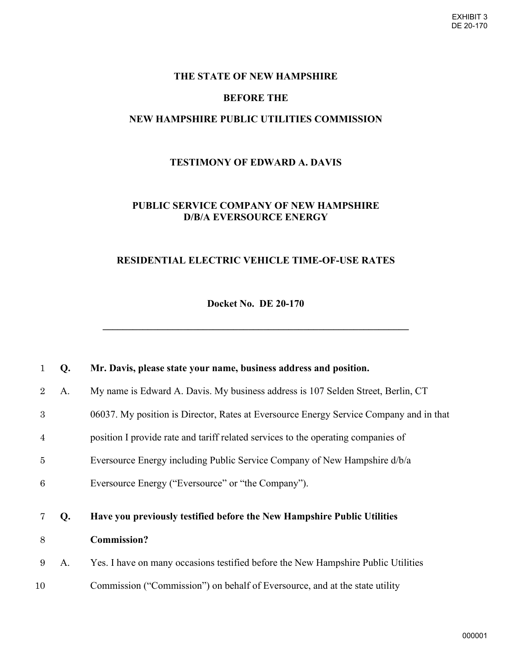### **THE STATE OF NEW HAMPSHIRE**

# **BEFORE THE**

## **NEW HAMPSHIRE PUBLIC UTILITIES COMMISSION**

## **TESTIMONY OF EDWARD A. DAVIS**

# **PUBLIC SERVICE COMPANY OF NEW HAMPSHIRE D/B/A EVERSOURCE ENERGY**

## **RESIDENTIAL ELECTRIC VEHICLE TIME-OF-USE RATES**

**Docket No. DE 20-170** 

**\_\_\_\_\_\_\_\_\_\_\_\_\_\_\_\_\_\_\_\_\_\_\_\_\_\_\_\_\_\_\_\_\_\_\_\_\_\_\_\_\_\_\_\_\_\_\_\_\_\_\_\_\_\_\_\_\_\_\_\_\_** 

| 1              | Q. | Mr. Davis, please state your name, business address and position.                      |
|----------------|----|----------------------------------------------------------------------------------------|
| $\overline{2}$ | A. | My name is Edward A. Davis. My business address is 107 Selden Street, Berlin, CT       |
| 3              |    | 06037. My position is Director, Rates at Eversource Energy Service Company and in that |
| $\overline{4}$ |    | position I provide rate and tariff related services to the operating companies of      |
| $\overline{5}$ |    | Eversource Energy including Public Service Company of New Hampshire d/b/a              |
| 6              |    | Eversource Energy ("Eversource" or "the Company").                                     |
|                |    |                                                                                        |
|                |    |                                                                                        |
| 7              | Q. | Have you previously testified before the New Hampshire Public Utilities                |
| 8              |    | <b>Commission?</b>                                                                     |
| 9              | A. | Yes. I have on many occasions testified before the New Hampshire Public Utilities      |
| 10             |    | Commission ("Commission") on behalf of Eversource, and at the state utility            |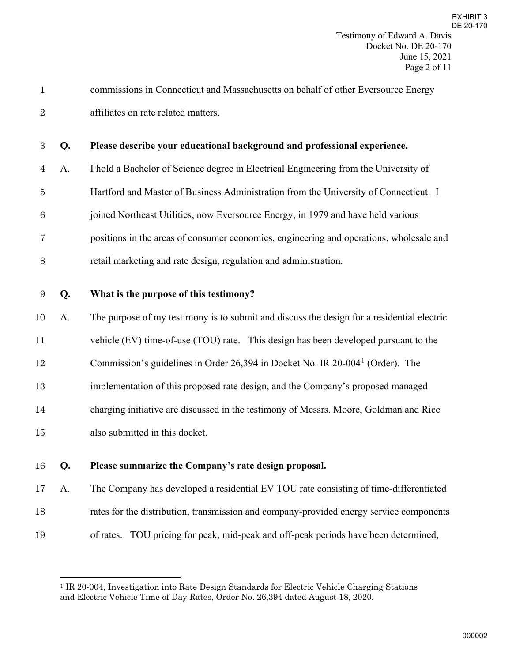|                | commissions in Connecticut and Massachusetts on behalf of other Eversource Energy |
|----------------|-----------------------------------------------------------------------------------|
| $\overline{2}$ | affiliates on rate related matters.                                               |

### **Q. Please describe your educational background and professional experience.**

A. I hold a Bachelor of Science degree in Electrical Engineering from the University of

Hartford and Master of Business Administration from the University of Connecticut. I

joined Northeast Utilities, now Eversource Energy, in 1979 and have held various

positions in the areas of consumer economics, engineering and operations, wholesale and

retail marketing and rate design, regulation and administration.

### **Q. What is the purpose of this testimony?**

A. The purpose of my testimony is to submit and discuss the design for a residential electric

vehicle (EV) time-of-use (TOU) rate. This design has been developed pursuant to the

[1](#page-1-0)2 Commission's guidelines in Order 26,394 in Docket No. IR  $20-004<sup>1</sup>$  (Order). The

implementation of this proposed rate design, and the Company's proposed managed

charging initiative are discussed in the testimony of Messrs. Moore, Goldman and Rice

also submitted in this docket.

### **Q. Please summarize the Company's rate design proposal.**

A. The Company has developed a residential EV TOU rate consisting of time-differentiated

rates for the distribution, transmission and company-provided energy service components

of rates. TOU pricing for peak, mid-peak and off-peak periods have been determined,

<span id="page-1-0"></span> IR 20-004, Investigation into Rate Design Standards for Electric Vehicle Charging Stations and Electric Vehicle Time of Day Rates, Order No. 26,394 dated August 18, 2020.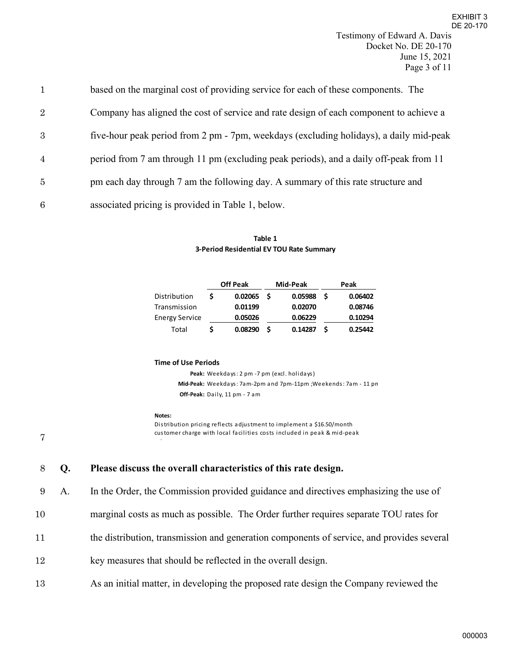| $\mathbf{1}$   | based on the marginal cost of providing service for each of these components. The      |
|----------------|----------------------------------------------------------------------------------------|
| $\overline{2}$ | Company has aligned the cost of service and rate design of each component to achieve a |
| 3              | five-hour peak period from 2 pm - 7pm, weekdays (excluding holidays), a daily mid-peak |
| $\overline{4}$ | period from 7 am through 11 pm (excluding peak periods), and a daily off-peak from 11  |
| 5              | pm each day through 7 am the following day. A summary of this rate structure and       |
| 6              | associated pricing is provided in Table 1, below.                                      |

### **Table 1 3-Period Residential EV TOU Rate Summary**

|                | <b>Off Peak</b> |     | Mid-Peak |     | Peak    |
|----------------|-----------------|-----|----------|-----|---------|
| Distribution   | 0.02065         | - S | 0.05988  | - S | 0.06402 |
| Transmission   | 0.01199         |     | 0.02070  |     | 0.08746 |
| Energy Service | 0.05026         |     | 0.06229  |     | 0.10294 |
| Total          | 0.08290         | S   | 0.14287  | S   | 0.25442 |

### **Time of Use Periods**

**Peak:** Weekdays: 2 pm -7 pm (excl. holidays) **Mid-Peak:** Weekdays: 7am-2pm and 7pm-11pm ;Weekends: 7am - 11 pm **Off-Peak:** Daily, 11 pm - 7 am

### **Notes:**

t

Distribution pricing reflects adjustment to implement a \$16.50/month customer charge with local facilities costs included in peak & mid-peak

7

# 8 **Q. Please discuss the overall characteristics of this rate design.**

9 A. In the Order, the Commission provided guidance and directives emphasizing the use of

- 10 marginal costs as much as possible. The Order further requires separate TOU rates for
- 11 the distribution, transmission and generation components of service, and provides several
- 12 key measures that should be reflected in the overall design.
- 13 As an initial matter, in developing the proposed rate design the Company reviewed the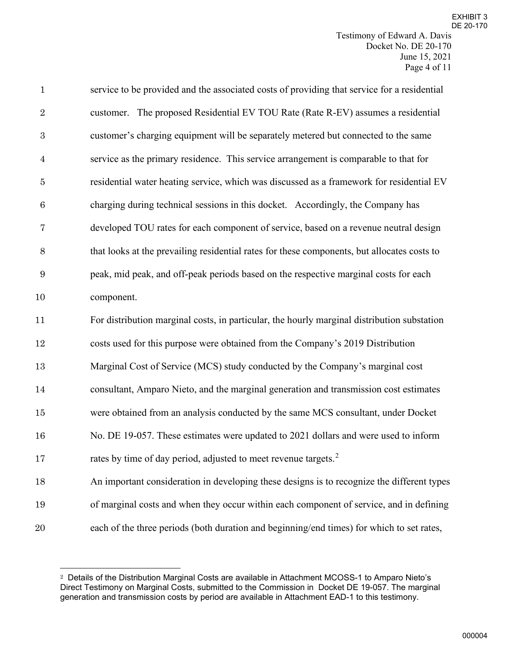| $\mathbf{1}$     | service to be provided and the associated costs of providing that service for a residential |
|------------------|---------------------------------------------------------------------------------------------|
| $\sqrt{2}$       | customer. The proposed Residential EV TOU Rate (Rate R-EV) assumes a residential            |
| $\boldsymbol{3}$ | customer's charging equipment will be separately metered but connected to the same          |
| $\overline{4}$   | service as the primary residence. This service arrangement is comparable to that for        |
| $\bf 5$          | residential water heating service, which was discussed as a framework for residential EV    |
| $\,6$            | charging during technical sessions in this docket. Accordingly, the Company has             |
| 7                | developed TOU rates for each component of service, based on a revenue neutral design        |
| $8\,$            | that looks at the prevailing residential rates for these components, but allocates costs to |
| 9                | peak, mid peak, and off-peak periods based on the respective marginal costs for each        |
| 10               | component.                                                                                  |
| 11               | For distribution marginal costs, in particular, the hourly marginal distribution substation |
| 12               | costs used for this purpose were obtained from the Company's 2019 Distribution              |
| 13               | Marginal Cost of Service (MCS) study conducted by the Company's marginal cost               |
| $14\,$           | consultant, Amparo Nieto, and the marginal generation and transmission cost estimates       |
| $15\,$           | were obtained from an analysis conducted by the same MCS consultant, under Docket           |
| 16               | No. DE 19-057. These estimates were updated to 2021 dollars and were used to inform         |
| 17               | rates by time of day period, adjusted to meet revenue targets. <sup>2</sup>                 |
| 18               | An important consideration in developing these designs is to recognize the different types  |
| 19               | of marginal costs and when they occur within each component of service, and in defining     |
| 20               | each of the three periods (both duration and beginning/end times) for which to set rates,   |

<span id="page-3-0"></span>Details of the Distribution Marginal Costs are available in Attachment MCOSS-1 to Amparo Nieto's Direct Testimony on Marginal Costs, submitted to the Commission in Docket DE 19-057. The marginal generation and transmission costs by period are available in Attachment EAD-1 to this testimony.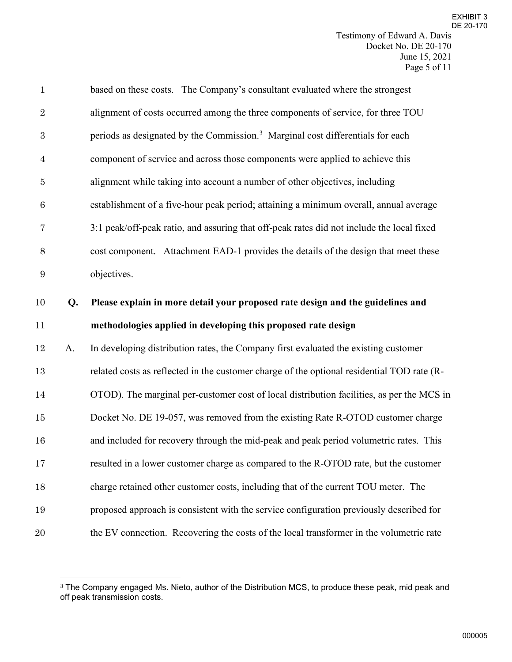| $\mathbf{1}$     |    | based on these costs. The Company's consultant evaluated where the strongest               |
|------------------|----|--------------------------------------------------------------------------------------------|
| $\sqrt{2}$       |    | alignment of costs occurred among the three components of service, for three TOU           |
| $\sqrt{3}$       |    | periods as designated by the Commission. <sup>3</sup> Marginal cost differentials for each |
| $\overline{4}$   |    | component of service and across those components were applied to achieve this              |
| $\overline{5}$   |    | alignment while taking into account a number of other objectives, including                |
| $\boldsymbol{6}$ |    | establishment of a five-hour peak period; attaining a minimum overall, annual average      |
| $\overline{7}$   |    | 3:1 peak/off-peak ratio, and assuring that off-peak rates did not include the local fixed  |
| $8\,$            |    | cost component. Attachment EAD-1 provides the details of the design that meet these        |
| 9                |    | objectives.                                                                                |
| 10               | Q. | Please explain in more detail your proposed rate design and the guidelines and             |
| 11               |    | methodologies applied in developing this proposed rate design                              |
| 12               | A. | In developing distribution rates, the Company first evaluated the existing customer        |
| $13\,$           |    | related costs as reflected in the customer charge of the optional residential TOD rate (R- |
| 14               |    | OTOD). The marginal per-customer cost of local distribution facilities, as per the MCS in  |
| 15               |    | Docket No. DE 19-057, was removed from the existing Rate R-OTOD customer charge            |
| 16               |    | and included for recovery through the mid-peak and peak period volumetric rates. This      |
| 17               |    | resulted in a lower customer charge as compared to the R-OTOD rate, but the customer       |
| 18               |    | charge retained other customer costs, including that of the current TOU meter. The         |
| 19               |    | proposed approach is consistent with the service configuration previously described for    |
|                  |    |                                                                                            |

<span id="page-4-0"></span> $^{\rm 3}$  The Company engaged Ms. Nieto, author of the Distribution MCS, to produce these peak, mid peak and off peak transmission costs.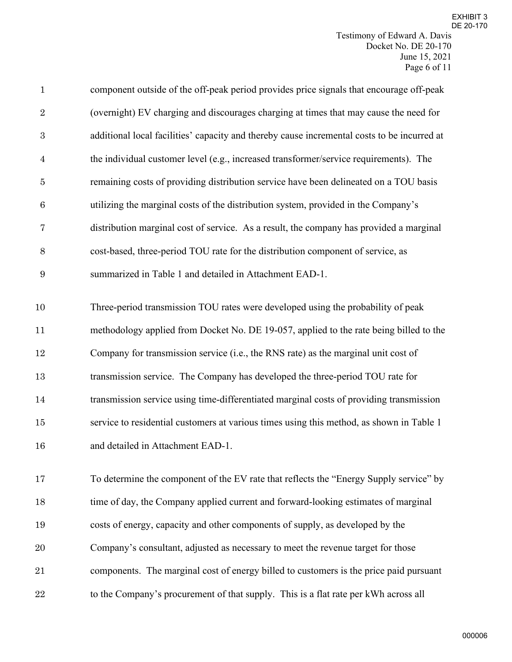| $\mathbf{1}$     | component outside of the off-peak period provides price signals that encourage off-peak     |
|------------------|---------------------------------------------------------------------------------------------|
| $\sqrt{2}$       | (overnight) EV charging and discourages charging at times that may cause the need for       |
| $\boldsymbol{3}$ | additional local facilities' capacity and thereby cause incremental costs to be incurred at |
| $\overline{4}$   | the individual customer level (e.g., increased transformer/service requirements). The       |
| $\bf 5$          | remaining costs of providing distribution service have been delineated on a TOU basis       |
| $\,6$            | utilizing the marginal costs of the distribution system, provided in the Company's          |
| $\overline{7}$   | distribution marginal cost of service. As a result, the company has provided a marginal     |
| $8\,$            | cost-based, three-period TOU rate for the distribution component of service, as             |
| $\boldsymbol{9}$ | summarized in Table 1 and detailed in Attachment EAD-1.                                     |
|                  |                                                                                             |
| 10               | Three-period transmission TOU rates were developed using the probability of peak            |
| 11               | methodology applied from Docket No. DE 19-057, applied to the rate being billed to the      |
| $12\,$           | Company for transmission service (i.e., the RNS rate) as the marginal unit cost of          |
| 13               | transmission service. The Company has developed the three-period TOU rate for               |
| 14               | transmission service using time-differentiated marginal costs of providing transmission     |
| $15\,$           | service to residential customers at various times using this method, as shown in Table 1    |
| 16               | and detailed in Attachment EAD-1.                                                           |
|                  |                                                                                             |
| 17               | To determine the component of the EV rate that reflects the "Energy Supply service" by      |
| 18               | time of day, the Company applied current and forward-looking estimates of marginal          |
| 19               | costs of energy, capacity and other components of supply, as developed by the               |
| 20               | Company's consultant, adjusted as necessary to meet the revenue target for those            |
| 21               | components. The marginal cost of energy billed to customers is the price paid pursuant      |
| 22               | to the Company's procurement of that supply. This is a flat rate per kWh across all         |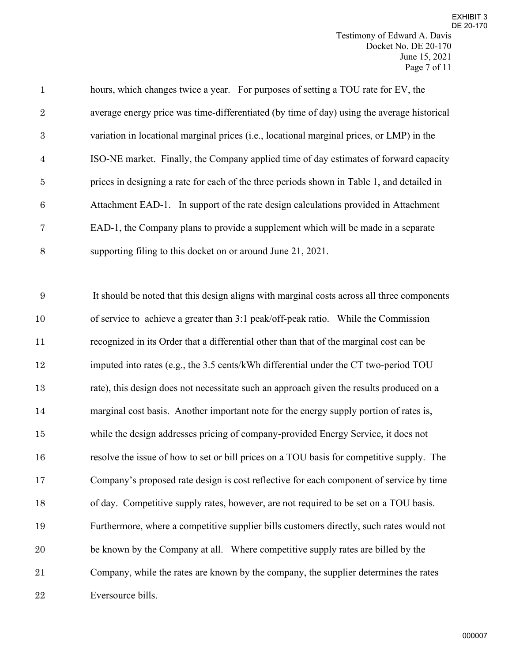| $\mathbf{1}$   | hours, which changes twice a year. For purposes of setting a TOU rate for EV, the          |
|----------------|--------------------------------------------------------------------------------------------|
| 2              | average energy price was time-differentiated (by time of day) using the average historical |
| 3              | variation in locational marginal prices (i.e., locational marginal prices, or LMP) in the  |
| $\overline{4}$ | ISO-NE market. Finally, the Company applied time of day estimates of forward capacity      |
| $\overline{5}$ | prices in designing a rate for each of the three periods shown in Table 1, and detailed in |
| 6              | Attachment EAD-1. In support of the rate design calculations provided in Attachment        |
| $\overline{7}$ | EAD-1, the Company plans to provide a supplement which will be made in a separate          |
| 8              | supporting filing to this docket on or around June 21, 2021.                               |

It should be noted that this design aligns with marginal costs across all three components of service to achieve a greater than 3:1 peak/off-peak ratio. While the Commission recognized in its Order that a differential other than that of the marginal cost can be imputed into rates (e.g., the 3.5 cents/kWh differential under the CT two-period TOU rate), this design does not necessitate such an approach given the results produced on a marginal cost basis. Another important note for the energy supply portion of rates is, while the design addresses pricing of company-provided Energy Service, it does not resolve the issue of how to set or bill prices on a TOU basis for competitive supply. The Company's proposed rate design is cost reflective for each component of service by time of day. Competitive supply rates, however, are not required to be set on a TOU basis. Furthermore, where a competitive supplier bills customers directly, such rates would not be known by the Company at all. Where competitive supply rates are billed by the Company, while the rates are known by the company, the supplier determines the rates Eversource bills.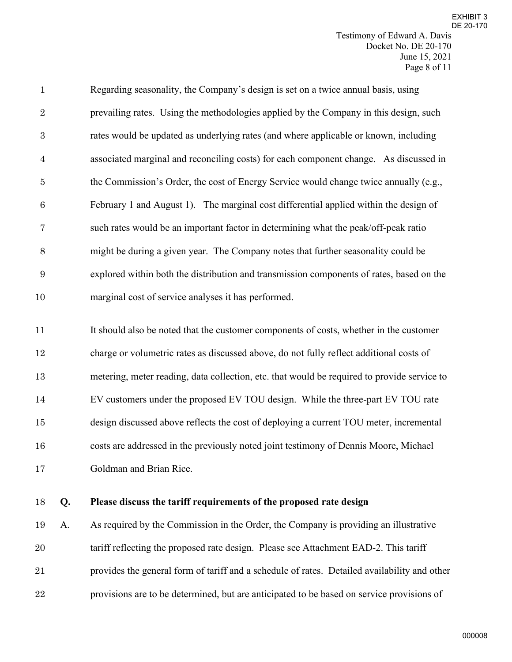| $\mathbf{1}$    | Regarding seasonality, the Company's design is set on a twice annual basis, using        |
|-----------------|------------------------------------------------------------------------------------------|
| $\overline{2}$  | prevailing rates. Using the methodologies applied by the Company in this design, such    |
| 3               | rates would be updated as underlying rates (and where applicable or known, including     |
| $\overline{4}$  | associated marginal and reconciling costs) for each component change. As discussed in    |
| $\overline{5}$  | the Commission's Order, the cost of Energy Service would change twice annually (e.g.,    |
| $6\phantom{.}6$ | February 1 and August 1). The marginal cost differential applied within the design of    |
| 7               | such rates would be an important factor in determining what the peak/off-peak ratio      |
| 8               | might be during a given year. The Company notes that further seasonality could be        |
| 9               | explored within both the distribution and transmission components of rates, based on the |
| 10              | marginal cost of service analyses it has performed.                                      |

 It should also be noted that the customer components of costs, whether in the customer charge or volumetric rates as discussed above, do not fully reflect additional costs of metering, meter reading, data collection, etc. that would be required to provide service to EV customers under the proposed EV TOU design. While the three-part EV TOU rate design discussed above reflects the cost of deploying a current TOU meter, incremental costs are addressed in the previously noted joint testimony of Dennis Moore, Michael Goldman and Brian Rice.

### **Q. Please discuss the tariff requirements of the proposed rate design**

 A. As required by the Commission in the Order, the Company is providing an illustrative tariff reflecting the proposed rate design. Please see Attachment EAD-2. This tariff provides the general form of tariff and a schedule of rates. Detailed availability and other provisions are to be determined, but are anticipated to be based on service provisions of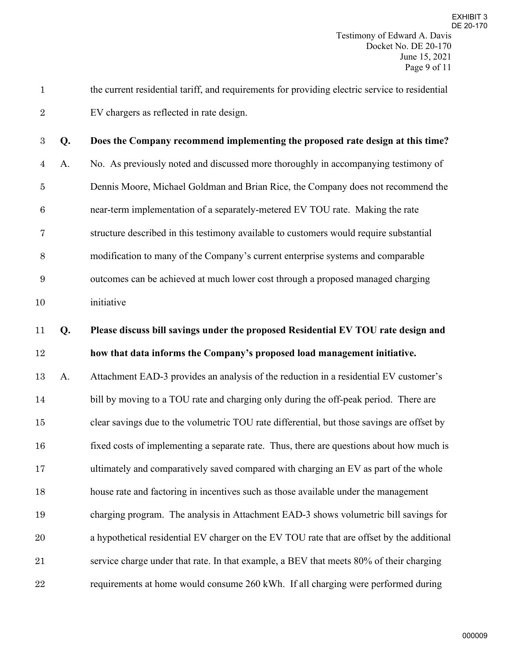the current residential tariff, and requirements for providing electric service to residential EV chargers as reflected in rate design.

**Q. Does the Company recommend implementing the proposed rate design at this time?** A. No. As previously noted and discussed more thoroughly in accompanying testimony of Dennis Moore, Michael Goldman and Brian Rice, the Company does not recommend the near-term implementation of a separately-metered EV TOU rate. Making the rate structure described in this testimony available to customers would require substantial modification to many of the Company's current enterprise systems and comparable outcomes can be achieved at much lower cost through a proposed managed charging initiative

# **Q. Please discuss bill savings under the proposed Residential EV TOU rate design and how that data informs the Company's proposed load management initiative.**

 A. Attachment EAD-3 provides an analysis of the reduction in a residential EV customer's 14 bill by moving to a TOU rate and charging only during the off-peak period. There are clear savings due to the volumetric TOU rate differential, but those savings are offset by fixed costs of implementing a separate rate. Thus, there are questions about how much is ultimately and comparatively saved compared with charging an EV as part of the whole house rate and factoring in incentives such as those available under the management charging program. The analysis in Attachment EAD-3 shows volumetric bill savings for a hypothetical residential EV charger on the EV TOU rate that are offset by the additional service charge under that rate. In that example, a BEV that meets 80% of their charging requirements at home would consume 260 kWh. If all charging were performed during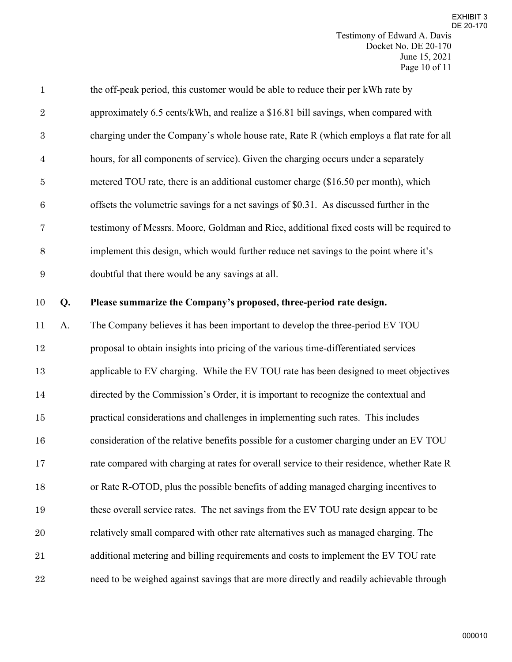| $\mathbf{1}$     |    | the off-peak period, this customer would be able to reduce their per kWh rate by            |
|------------------|----|---------------------------------------------------------------------------------------------|
| $\overline{2}$   |    | approximately 6.5 cents/kWh, and realize a \$16.81 bill savings, when compared with         |
| $\sqrt{3}$       |    | charging under the Company's whole house rate, Rate R (which employs a flat rate for all    |
| $\overline{4}$   |    | hours, for all components of service). Given the charging occurs under a separately         |
| $\bf 5$          |    | metered TOU rate, there is an additional customer charge (\$16.50 per month), which         |
| $\,6$            |    | offsets the volumetric savings for a net savings of \$0.31. As discussed further in the     |
| 7                |    | testimony of Messrs. Moore, Goldman and Rice, additional fixed costs will be required to    |
| $8\,$            |    | implement this design, which would further reduce net savings to the point where it's       |
| $\boldsymbol{9}$ |    | doubtful that there would be any savings at all.                                            |
| 10               | Q. | Please summarize the Company's proposed, three-period rate design.                          |
| 11               | A. | The Company believes it has been important to develop the three-period EV TOU               |
| 12               |    | proposal to obtain insights into pricing of the various time-differentiated services        |
| 13               |    | applicable to EV charging. While the EV TOU rate has been designed to meet objectives       |
| $14\,$           |    | directed by the Commission's Order, it is important to recognize the contextual and         |
| 15               |    | practical considerations and challenges in implementing such rates. This includes           |
| 16               |    | consideration of the relative benefits possible for a customer charging under an EV TOU     |
| 17               |    | rate compared with charging at rates for overall service to their residence, whether Rate R |
| 18               |    | or Rate R-OTOD, plus the possible benefits of adding managed charging incentives to         |
| 19               |    | these overall service rates. The net savings from the EV TOU rate design appear to be       |
| 20               |    | relatively small compared with other rate alternatives such as managed charging. The        |
| 21               |    | additional metering and billing requirements and costs to implement the EV TOU rate         |
| 22               |    | need to be weighed against savings that are more directly and readily achievable through    |
|                  |    |                                                                                             |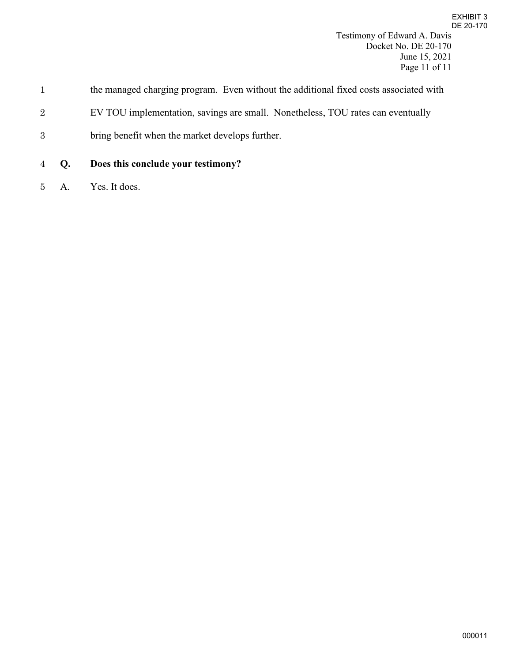- 2 EV TOU implementation, savings are small. Nonetheless, TOU rates can eventually
- 3 bring benefit when the market develops further.
- 4 **Q. Does this conclude your testimony?**
- 5 A. Yes. It does.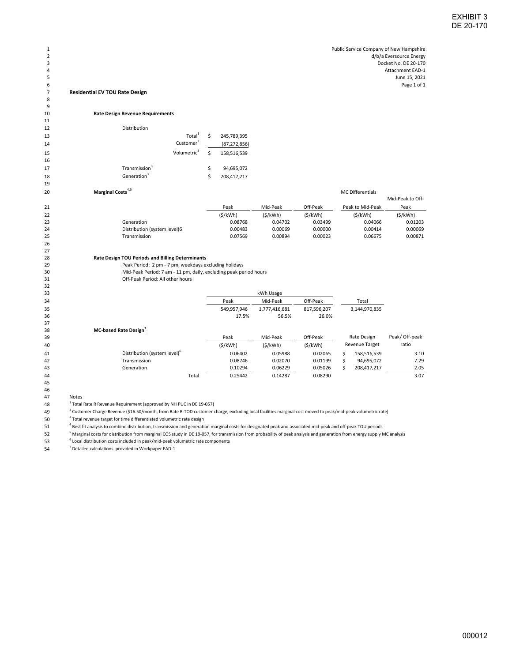### **Residential EV TOU Rate Design**

  $\frac{9}{10}$ 

 

 33<br>34

 46<br>47

### **Rate Design Revenue Requirements**

| Distribution |  |
|--------------|--|

| Total <sup>1</sup><br>13        |            | 245,789,395    |
|---------------------------------|------------|----------------|
|                                 |            |                |
| Customer <sup>2</sup><br>14     |            | (87, 272, 856) |
| Volumetric <sup>3</sup><br>15   | $\epsilon$ | 158,516,539    |
| 16                              |            |                |
| Transmission <sup>3</sup><br>17 |            | 94,695,072     |
| Generation <sup>3</sup><br>18   |            | 208,417,217    |

| 20 | Marginal Costs <sup>4,5</sup><br><b>MC Differentials</b> |         |          |          |                  |                  |
|----|----------------------------------------------------------|---------|----------|----------|------------------|------------------|
|    |                                                          |         |          |          |                  | Mid-Peak to Off- |
| 21 |                                                          | Peak    | Mid-Peak | Off-Peak | Peak to Mid-Peak | Peak             |
| 22 |                                                          | (S/kWh) | (S/kWh)  | (S/kWh)  | (S/kWh)          | (S/kWh)          |
| 23 | Generation                                               | 0.08768 | 0.04702  | 0.03499  | 0.04066          | 0.01203          |
| 24 | Distribution (system level)6                             | 0.00483 | 0.00069  | 0.00000  | 0.00414          | 0.00069          |
| 25 | <b>Transmission</b>                                      | 0.07569 | 0.00894  | 0.00023  | 0.06675          | 0.00871          |
|    |                                                          |         |          |          |                  |                  |

# **Rate Design TOU Periods and Billing Determinants**

<sup>29</sup> Peak Period: 2 pm - 7 pm, weekdays excluding holidays<br>20 Mid-Peak Period: 7 am - 11 pm, daily, excluding peak pe Mid-Peak Period: 7 am - 11 pm, daily, excluding peak period hours Off-Peak Period: All other hours

| 33 |             |               |             |               |
|----|-------------|---------------|-------------|---------------|
| 34 | Peak        | Mid-Peak      | Off-Peak    | Total         |
| 35 | 549,957,946 | 1,777,416,681 | 817,596,207 | 3,144,970,835 |
| 36 | 17.5%       | 56.5%         | 26.0%       |               |

| 38 | <b>MC-based Rate Design</b>              |         |          |          |             |                       |                |  |
|----|------------------------------------------|---------|----------|----------|-------------|-----------------------|----------------|--|
| 39 |                                          |         | Mid-Peak | Off-Peak | Rate Design |                       | Peak/ Off-peak |  |
| 40 |                                          | (S/kWh) | (S/kWh)  | (S/kWh)  |             | <b>Revenue Target</b> | ratio          |  |
| 41 | Distribution (system level) <sup>o</sup> | 0.06402 | 0.05988  | 0.02065  |             | 158,516,539           | 3.10           |  |
| 42 | Transmission                             | 0.08746 | 0.02070  | 0.01199  |             | 94.695.072            | 7.29           |  |
| 43 | Generation                               | 0.10294 | 0.06229  | 0.05026  |             | 208,417,217           | 2.05           |  |
| 44 | Total                                    | 0.25442 | 0.14287  | 0.08290  |             |                       | 3.07           |  |

**Notes** 

 <sup>1</sup> <sup>1</sup> Total Rate R Revenue Requirement (approved by NH PUC in DE 19-057)

 $^2$  Customer Charge Revenue (\$16.50/month, from Rate R-TOD customer charge, excluding local facilities marginal cost moved to peak/mid-peak volumetric rate)

Total revenue target for time differentiated volumetric rate design

<sup>4</sup> Best fit analysis to combine distribution, transmission and generation marginal costs for designated peak and associated mid-peak and off-peak TOU periods

 <sup>5</sup> <sup>5</sup> Marginal costs for distribution from marginal COS study in DE 19-057, for transmission from probability of peak analysis and generation from energy supply MC analysis

Local distribution costs included in peak/mid-peak volumetric rate components

 $<sup>7</sup>$  Detailed calculations provided in Workpaper EAD-1</sup>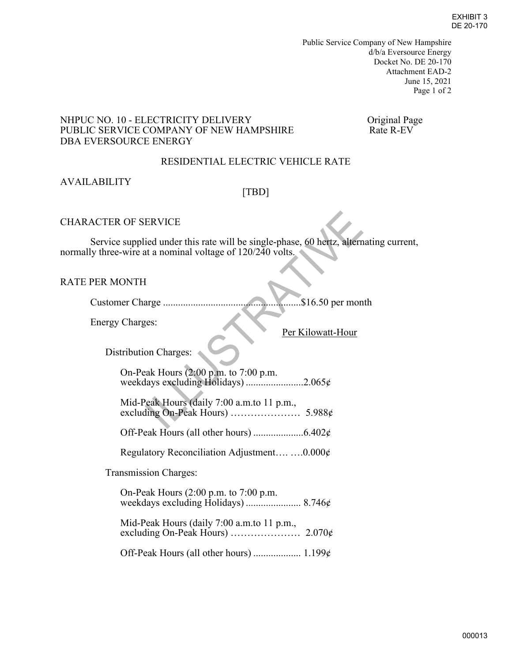Public Service Company of New Hampshire d/b/a Eversource Energy Docket No. DE 20-170 Attachment EAD-2 June 15, 2021 Page 1 of 2

### NHPUC NO. 10 - ELECTRICITY DELIVERY<br>
PUBLIC SERVICE COMPANY OF NEW HAMPSHIRE Rate R-EV PUBLIC SERVICE COMPANY OF NEW HAMPSHIRE DBA EVERSOURCE ENERGY

### RESIDENTIAL ELECTRIC VEHICLE RATE

### AVAILABILITY

### [TBD]

### CHARACTER OF SERVICE

 Service supplied under this rate will be single-phase, 60 hertz, alternating current, normally three-wire at a nominal voltage of 120/240 volts.

### RATE PER MONTH

Customer Charge .......................................................\$16.50 per month

Energy Charges:

Per Kilowatt-Hour

 $\frac{1}{2}$ 

Distribution Charges:

On-Peak Hours (2:00 p.m. to 7:00 p.m. weekdays excluding Holidays) .......................2.065¢

Mid-Peak Hours (daily 7:00 a.m.to 11 p.m., excluding On-Peak Hours) ………………… 5.988¢

Off-Peak Hours (all other hours) ....................6.402¢

Regulatory Reconciliation Adjustment…. ….0.000¢

Transmission Charges:

 On-Peak Hours (2:00 p.m. to 7:00 p.m. weekdays excluding Holidays) ...................... 8.746¢

 Mid-Peak Hours (daily 7:00 a.m.to 11 p.m., excluding On-Peak Hours) ………………… 2.070¢

Off-Peak Hours (all other hours) ................... 1.199¢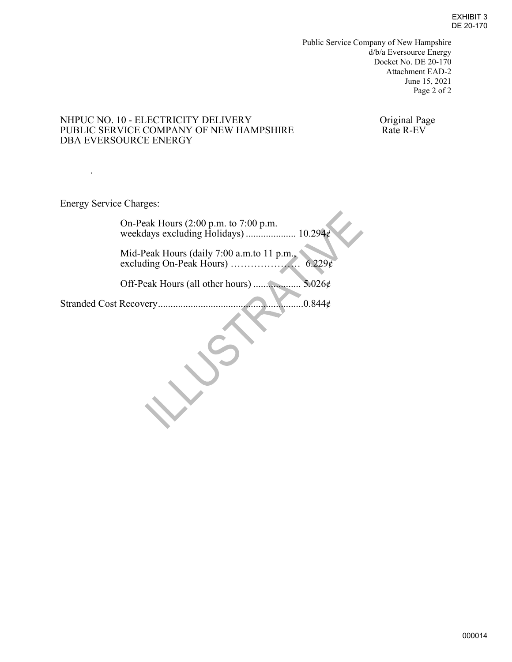Public Service Company of New Hampshire d/b/a Eversource Energy Docket No. DE 20-170 Attachment EAD-2 June 15, 2021 Page 2 of 2

# NHPUC NO. 10 - ELECTRICITY DELIVERY OF NEW HAMPSHIRE Original Page PUBLIC SERVICE COMPANY OF NEW HAMPSHIRE Rate R-EV PUBLIC SERVICE COMPANY OF NEW HAMPSHIRE DBA EVERSOURCE ENERGY

Energy Service Charges:

.

| On-Peak Hours $(2:00 \text{ p.m. to } 7:00 \text{ p.m.})$<br>weekdays excluding Holidays)  10.294¢ |  |
|----------------------------------------------------------------------------------------------------|--|
| Mid-Peak Hours (daily 7:00 a.m.to 11 p.m.,<br>6.229c                                               |  |
| 5.026¢<br>Off-Peak Hours (all other hours)                                                         |  |
| Stranded Cost Recovery<br>0.844c                                                                   |  |
|                                                                                                    |  |